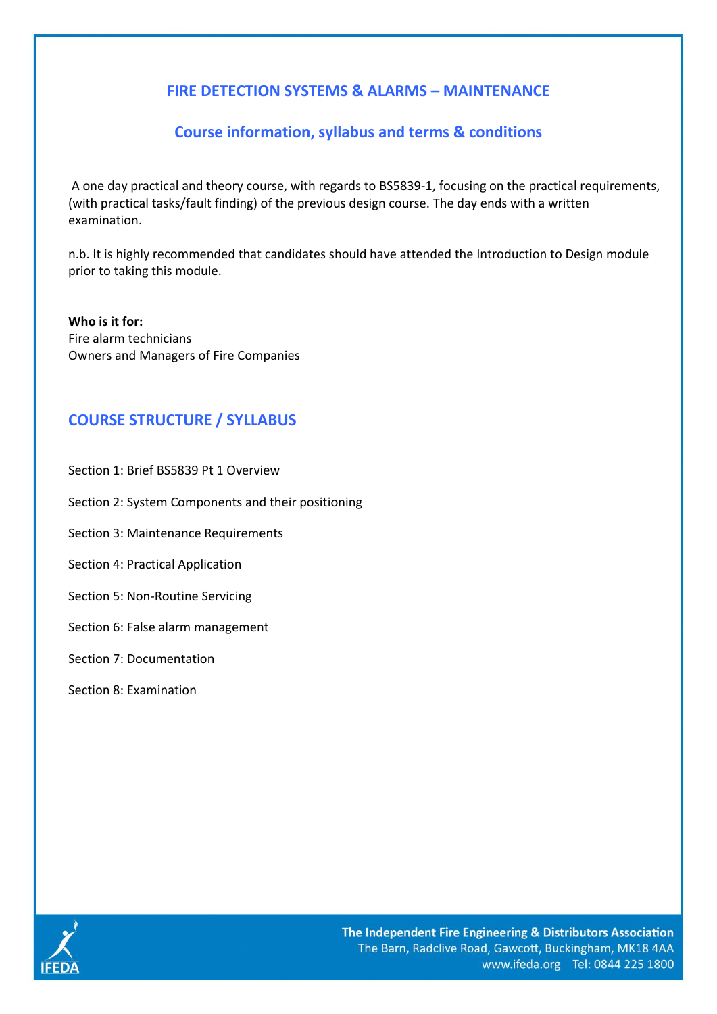# **FIRE DETECTION SYSTEMS & ALARMS – MAINTENANCE**

# **Course information, syllabus and terms & conditions**

A one day practical and theory course, with regards to BS5839‐1, focusing on the practical requirements, (with practical tasks/fault finding) of the previous design course. The day ends with a written examination.

n.b. It is highly recommended that candidates should have attended the Introduction to Design module prior to taking this module.

**Who is it for:** Fire alarm technicians Owners and Managers of Fire Companies

# **COURSE STRUCTURE / SYLLABUS**

- Section 1: Brief BS5839 Pt 1 Overview
- Section 2: System Components and their positioning
- Section 3: Maintenance Requirements
- Section 4: Practical Application
- Section 5: Non-Routine Servicing
- Section 6: False alarm management

Section 7: Documentation

Section 8: Examination

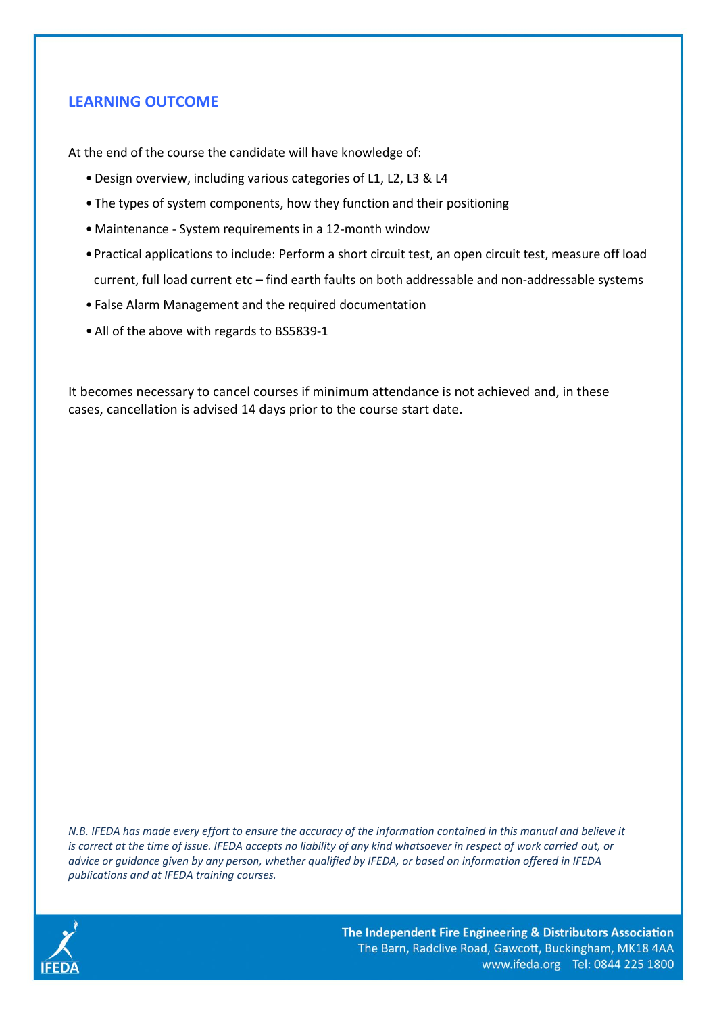### **LEARNING OUTCOME**

At the end of the course the candidate will have knowledge of:

- Design overview, including various categories of L1, L2, L3 & L4
- The types of system components, how they function and their positioning
- Maintenance ‐ System requirements in a 12-month window
- •Practical applications to include: Perform a short circuit test, an open circuit test, measure off load current, full load current etc – find earth faults on both addressable and non‐addressable systems
- False Alarm Management and the required documentation
- •All of the above with regards to BS5839‐1

It becomes necessary to cancel courses if minimum attendance is not achieved and, in these cases, cancellation is advised 14 days prior to the course start date.

*N.B. IFEDA has made every effort to ensure the accuracy of the information contained in this manual and believe it is correct at the time of issue. IFEDA accepts no liability of any kind whatsoever in respect of work carried out, or advice or guidance given by any person, whether qualified by IFEDA, or based on information offered in IFEDA publications and at IFEDA training courses.* 



The Independent Fire Engineering & Distributors Association The Barn, Radclive Road, Gawcott, Buckingham, MK18 4AA www.ifeda.org Tel: 0844 225 1800